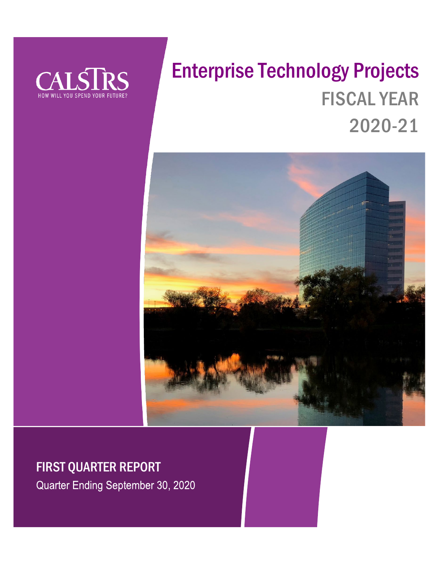

# Enterprise Technology Projects FISCAL YEAR 2020-21



### FIRST QUARTER REPORT

Quarter Ending September 30, 2020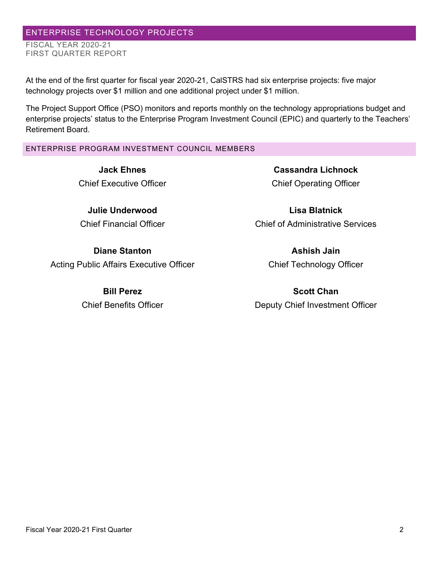#### ENTERPRISE TECHNOLOGY PROJECTS FISCAL YEAR 2020-21 FIRST QUARTER REPORT

At the end of the first quarter for fiscal year 2020-21, CalSTRS had six enterprise projects: five major technology projects over \$1 million and one additional project under \$1 million.

The Project Support Office (PSO) monitors and reports monthly on the technology appropriations budget and enterprise projects' status to the Enterprise Program Investment Council (EPIC) and quarterly to the Teachers' Retirement Board.

#### ENTERPRISE PROGRAM INVESTMENT COUNCIL MEMBERS

**Jack Ehnes** Chief Executive Officer

**Julie Underwood** Chief Financial Officer

**Diane Stanton** Acting Public Affairs Executive Officer

> **Bill Perez** Chief Benefits Officer

**Cassandra Lichnock** Chief Operating Officer

**Lisa Blatnick** Chief of Administrative Services

> **Ashish Jain** Chief Technology Officer

**Scott Chan** Deputy Chief Investment Officer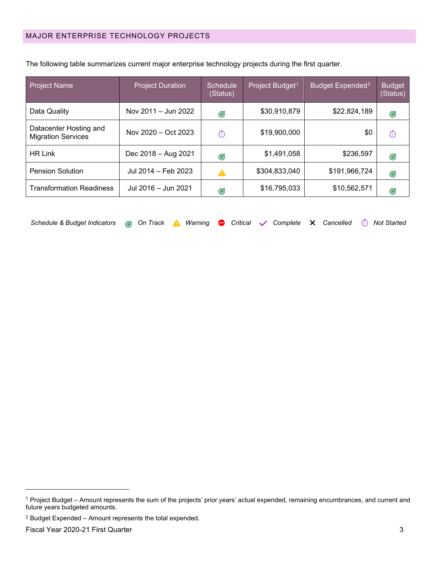| <b>Project Name</b>                                 | <b>Project Duration</b> | Schedule<br>(Status) | Project Budget <sup>1</sup> | Budget Expended <sup>2</sup> | <b>Budget</b><br>(Status) |
|-----------------------------------------------------|-------------------------|----------------------|-----------------------------|------------------------------|---------------------------|
| Data Quality                                        | Nov 2011 - Jun 2022     | G                    | \$30,910,879                | \$22,824,189                 | Ø                         |
| Datacenter Hosting and<br><b>Migration Services</b> | Nov 2020 - Oct 2023     | Ō                    | \$19,900,000                | \$0                          | Ō                         |
| <b>HR Link</b>                                      | Dec 2018 - Aug 2021     | Ø                    | \$1,491,058                 | \$236,597                    | Ø                         |
| <b>Pension Solution</b>                             | Jul 2014 - Feb 2023     | А                    | \$304,833,040               | \$191,966,724                | Ø                         |
| <b>Transformation Readiness</b>                     | Jul 2016 - Jun 2021     | Ø                    | \$16,795,033                | \$10,562,571                 | Ø                         |

The following table summarizes current major enterprise technology projects during the first quarter.

| Schedule & Budget Indicators & On Track A Warning $\bullet$ Critical $\checkmark$ Complete X Cancelled $\circledcirc$ Not Started |  |  |  |  |  |  |  |  |  |  |  |  |
|-----------------------------------------------------------------------------------------------------------------------------------|--|--|--|--|--|--|--|--|--|--|--|--|
|-----------------------------------------------------------------------------------------------------------------------------------|--|--|--|--|--|--|--|--|--|--|--|--|

<span id="page-2-0"></span><sup>1</sup> Project Budget – Amount represents the sum of the projects' prior years' actual expended, remaining encumbrances, and current and future years budgeted amounts.

<span id="page-2-1"></span><sup>2</sup> Budget Expended – Amount represents the total expended.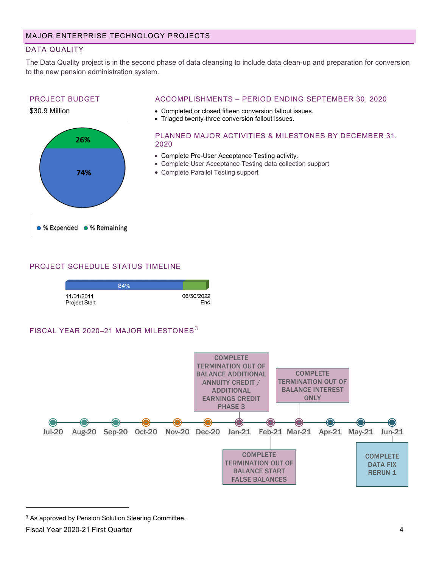#### DATA QUALITY

The Data Quality project is in the second phase of data cleansing to include data clean-up and preparation for conversion to the new pension administration system.

#### PROJECT BUDGET



#### ACCOMPLISHMENTS – PERIOD ENDING SEPTEMBER 30, 2020

- Completed or closed fifteen conversion fallout issues.
- Triaged twenty-three conversion fallout issues.

#### PLANNED MAJOR ACTIVITIES & MILESTONES BY DECEMBER 31, 2020

- Complete Pre-User Acceptance Testing activity.
- Complete User Acceptance Testing data collection support
- Complete Parallel Testing support

#### PROJECT SCHEDULE STATUS TIMELINE



#### FISCAL YEAR 2020-21 MAJOR MILESTONES<sup>[3](#page-3-0)</sup>



<span id="page-3-0"></span><sup>3</sup> As approved by Pension Solution Steering Committee.

Fiscal Year 2020-21 First Quarter 4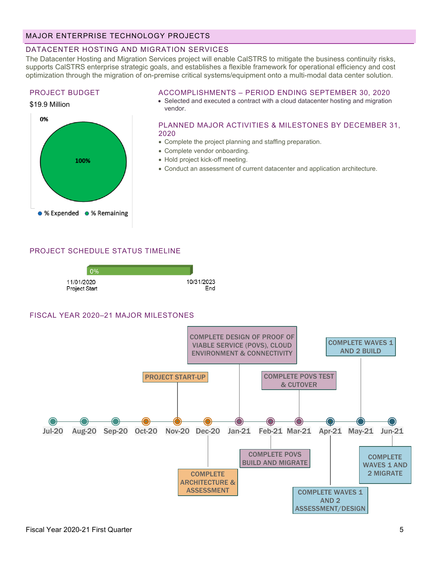#### MAJOR ENTERPRISE TECHNOLOGY PROJECTS

#### DATACENTER HOSTING AND MIGRATION SERVICES

The Datacenter Hosting and Migration Services project will enable CalSTRS to mitigate the business continuity risks, supports CalSTRS enterprise strategic goals, and establishes a flexible framework for operational efficiency and cost optimization through the migration of on-premise critical systems/equipment onto a multi-modal data center solution.

#### PROJECT BUDGET

100%

● % Expended ● % Remaining

\$19.9 Million

0%

#### ACCOMPLISHMENTS – PERIOD ENDING SEPTEMBER 30, 2020

• Selected and executed a contract with a cloud datacenter hosting and migration vendor.

#### PLANNED MAJOR ACTIVITIES & MILESTONES BY DECEMBER 31, 2020

- Complete the project planning and staffing preparation.
- Complete vendor onboarding.
- Hold project kick-off meeting.
- Conduct an assessment of current datacenter and application architecture.

#### PROJECT SCHEDULE STATUS TIMELINE



#### FISCAL YEAR 2020–21 MAJOR MILESTONES

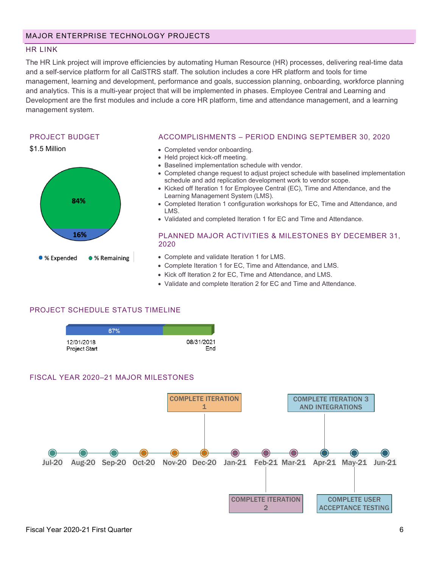#### HR LINK

The HR Link project will improve efficiencies by automating Human Resource (HR) processes, delivering real-time data and a self-service platform for all CalSTRS staff. The solution includes a core HR platform and tools for time management, learning and development, performance and goals, succession planning, onboarding, workforce planning and analytics. This is a multi-year project that will be implemented in phases. Employee Central and Learning and Development are the first modules and include a core HR platform, time and attendance management, and a learning management system.

#### PROJECT BUDGET



#### ACCOMPLISHMENTS – PERIOD ENDING SEPTEMBER 30, 2020

- Completed vendor onboarding.
- Held project kick-off meeting.
- Baselined implementation schedule with vendor.
- Completed change request to adjust project schedule with baselined implementation schedule and add replication development work to vendor scope.
- Kicked off Iteration 1 for Employee Central (EC), Time and Attendance, and the Learning Management System (LMS).
- Completed Iteration 1 configuration workshops for EC, Time and Attendance, and LMS.
- Validated and completed Iteration 1 for EC and Time and Attendance.

#### PLANNED MAJOR ACTIVITIES & MILESTONES BY DECEMBER 31, 2020

- Complete and validate Iteration 1 for LMS.
- Complete Iteration 1 for EC, Time and Attendance, and LMS.
- Kick off Iteration 2 for EC, Time and Attendance, and LMS.
- Validate and complete Iteration 2 for EC and Time and Attendance.

#### PROJECT SCHEDULE STATUS TIMELINE



#### FISCAL YEAR 2020–21 MAJOR MILESTONES

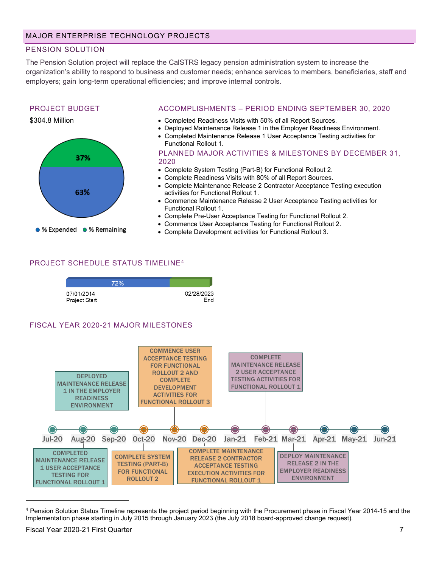#### PENSION SOLUTION

The Pension Solution project will replace the CalSTRS legacy pension administration system to increase the organization's ability to respond to business and customer needs; enhance services to members, beneficiaries, staff and employers; gain long-term operational efficiencies; and improve internal controls.

#### PROJECT BUDGET

\$304.8 Million



#### ACCOMPLISHMENTS – PERIOD ENDING SEPTEMBER 30, 2020

- Completed Readiness Visits with 50% of all Report Sources.
- Deployed Maintenance Release 1 in the Employer Readiness Environment.
- Completed Maintenance Release 1 User Acceptance Testing activities for Functional Rollout 1.

PLANNED MAJOR ACTIVITIES & MILESTONES BY DECEMBER 31, 2020

- Complete System Testing (Part-B) for Functional Rollout 2.
- Complete Readiness Visits with 80% of all Report Sources.
- Complete Maintenance Release 2 Contractor Acceptance Testing execution activities for Functional Rollout 1.
- Commence Maintenance Release 2 User Acceptance Testing activities for Functional Rollout 1.
- Complete Pre-User Acceptance Testing for Functional Rollout 2.
- Commence User Acceptance Testing for Functional Rollout 2.
- Complete Development activities for Functional Rollout 3.

#### PROJECT SCHEDULE STATUS TIMELINE[4](#page-6-0)

|                             | 72% |                   |
|-----------------------------|-----|-------------------|
| 07/01/2014<br>Project Start |     | 02/28/2023<br>End |

#### FISCAL YEAR 2020-21 MAJOR MILESTONES



<span id="page-6-0"></span><sup>4</sup> Pension Solution Status Timeline represents the project period beginning with the Procurement phase in Fiscal Year 2014-15 and the Implementation phase starting in July 2015 through January 2023 (the July 2018 board-approved change request).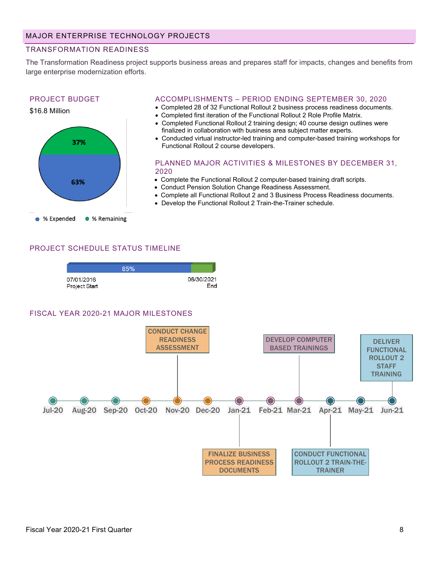#### TRANSFORMATION READINESS

The Transformation Readiness project supports business areas and prepares staff for impacts, changes and benefits from large enterprise modernization efforts.

## PROJECT BUDGET \$16.8 Million 37% 2020 63% % Expended ● % Remaining

#### ACCOMPLISHMENTS – PERIOD ENDING SEPTEMBER 30, 2020

- Completed 28 of 32 Functional Rollout 2 business process readiness documents.
- Completed first iteration of the Functional Rollout 2 Role Profile Matrix.
- Completed Functional Rollout 2 training design; 40 course design outlines were finalized in collaboration with business area subject matter experts.
- Conducted virtual instructor-led training and computer-based training workshops for Functional Rollout 2 course developers.

PLANNED MAJOR ACTIVITIES & MILESTONES BY DECEMBER 31,

- Complete the Functional Rollout 2 computer-based training draft scripts.
- Conduct Pension Solution Change Readiness Assessment.
- Complete all Functional Rollout 2 and 3 Business Process Readiness documents.
- Develop the Functional Rollout 2 Train-the-Trainer schedule.

#### PROJECT SCHEDULE STATUS TIMELINE

|                             | 85% |                   |
|-----------------------------|-----|-------------------|
| 07/01/2016<br>Project Start |     | 06/30/2021<br>End |

#### FISCAL YEAR 2020-21 MAJOR MILESTONES